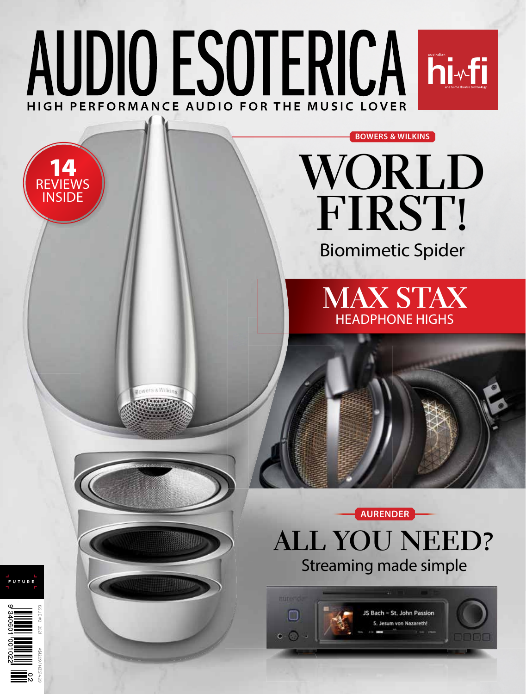# AUDIO ESOTERICAI histalian 1 HIGH PERFORMANCE AUDIO FOR THE MUSIC LOVER

# **WORLD FIRST!**

**BOWERS & WILKINS**

Biomimetic Spider

**MAX STAX** HEADPHONE HIGHS



**ALL YOU NEED?** Streaming made simple







A\$12.99 / NZ\$14.99

14 REVIEWS INSIDE

ets & Willia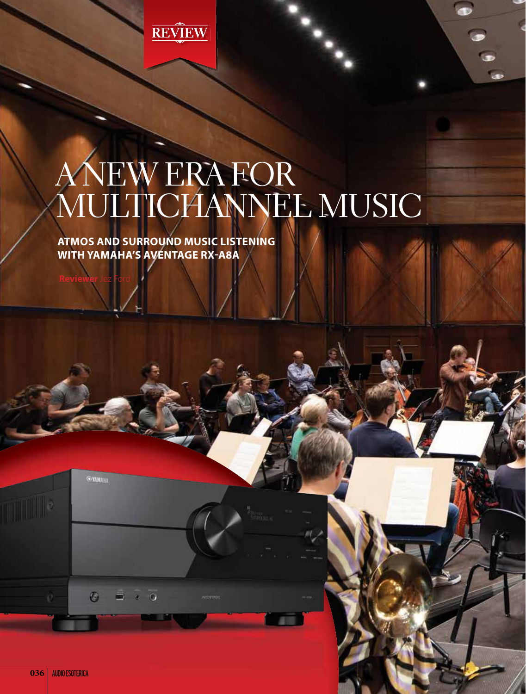

# A NEW ERA FOR MULTICHANNEL MUSIC

**ATMOS AND SURROUND MUSIC LISTENING WITH YAMAHA'S AVENTAGE RX-A8A** 

**Reviewer** Jez Ford

**GEYAMARS** 

 $\circ$ 

 $\bullet$ 

 $\overline{\phantom{a}}$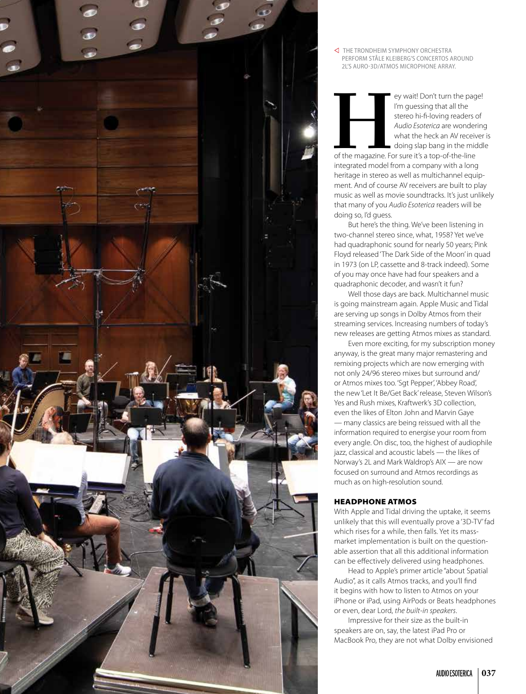

 THE TRONDHEIM SYMPHONY ORCHESTRA PERFORM STÅLE KLEIBERG'S CONCERTOS AROUND 2L'S AURO-3D/ATMOS MICROPHONE ARRAY.

![](_page_2_Picture_2.jpeg)

Example 1000 and the page!<br>
I'm guessing that all the<br>
stereo hi-fi-loving readers of<br>
Audio Esoterica are wondering<br>
what the heck an AV receiver<br>
doing slap bang in the middl<br>
of the magazine. For sure it's a top-of-the-I'm guessing that all the stereo hi-fi-loving readers of *Audio Esoterica* are wondering what the heck an AV receiver is doing slap bang in the middle

of the magazine. For sure it's a top-of-the-line integrated model from a company with a long heritage in stereo as well as multichannel equipment. And of course AV receivers are built to play music as well as movie soundtracks. It's just unlikely that many of you *Audio Esoterica* readers will be doing so, I'd guess.

But here's the thing. We've been listening in two-channel stereo since, what, 1958? Yet we've had quadraphonic sound for nearly 50 years; Pink Floyd released 'The Dark Side of the Moon' in quad in 1973 (on LP, cassette and 8-track indeed). Some of you may once have had four speakers and a quadraphonic decoder, and wasn't it fun?

Well those days are back. Multichannel music is going mainstream again. Apple Music and Tidal are serving up songs in Dolby Atmos from their streaming services. Increasing numbers of today's new releases are getting Atmos mixes as standard.

Even more exciting, for my subscription money anyway, is the great many major remastering and remixing projects which are now emerging with not only 24/96 stereo mixes but surround and/ or Atmos mixes too. 'Sgt Pepper', 'Abbey Road', the new 'Let It Be/Get Back' release, Steven Wilson's Yes and Rush mixes, Kraftwerk's 3D collection, even the likes of Elton John and Marvin Gaye — many classics are being reissued with all the information required to energise your room from every angle. On disc, too, the highest of audiophile jazz, classical and acoustic labels — the likes of Norway's 2L and Mark Waldrop's AIX — are now focused on surround and Atmos recordings as much as on high-resolution sound.

#### HEADPHONE ATMOS

With Apple and Tidal driving the uptake, it seems unlikely that this will eventually prove a '3D-TV' fad which rises for a while, then falls. Yet its massmarket implementation is built on the questionable assertion that all this additional information can be effectively delivered using headphones.

Head to Apple's primer article "about Spatial Audio", as it calls Atmos tracks, and you'll find it begins with how to listen to Atmos on your iPhone or iPad, using AirPods or Beats headphones or even, dear Lord, *the built-in speakers*.

Impressive for their size as the built-in speakers are on, say, the latest iPad Pro or MacBook Pro, they are not what Dolby envisioned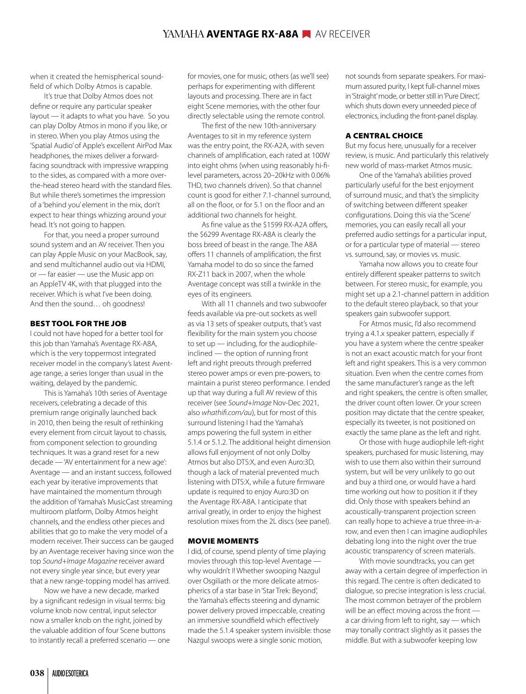when it created the hemispherical soundfield of which Dolby Atmos is capable.

It's true that Dolby Atmos does not define or require any particular speaker layout — it adapts to what you have. So you can play Dolby Atmos in mono if you like, or in stereo. When you play Atmos using the 'Spatial Audio' of Apple's excellent AirPod Max headphones, the mixes deliver a forwardfacing soundtrack with impressive wrapping to the sides, as compared with a more overthe-head stereo heard with the standard files. But while there's sometimes the impression of a 'behind you' element in the mix, don't expect to hear things whizzing around your head. It's not going to happen.

For that, you need a proper surround sound system and an AV receiver. Then you can play Apple Music on your MacBook, say, and send multichannel audio out via HDMI, or — far easier — use the Music app on an AppleTV 4K, with that plugged into the receiver. Which is what I've been doing. And then the sound… oh goodness!

#### BEST TOOL FOR THE JOB

I could not have hoped for a better tool for this job than Yamaha's Aventage RX-A8A, which is the very toppermost integrated receiver model in the company's latest Aventage range, a series longer than usual in the waiting, delayed by the pandemic.

This is Yamaha's 10th series of Aventage receivers, celebrating a decade of this premium range originally launched back in 2010, then being the result of rethinking every element from circuit layout to chassis, from component selection to grounding techniques. It was a grand reset for a new decade — 'AV entertainment for a new age': Aventage — and an instant success, followed each year by iterative improvements that have maintained the momentum through the addition of Yamaha's MusicCast streaming multiroom platform, Dolby Atmos height channels, and the endless other pieces and abilities that go to make the very model of a modern receiver. Their success can be gauged by an Aventage receiver having since won the top *Sound+Image Magazine* receiver award not every single year since, but every year that a new range-topping model has arrived.

Now we have a new decade, marked by a significant redesign in visual terms: big volume knob now central, input selector now a smaller knob on the right, joined by the valuable addition of four Scene buttons to instantly recall a preferred scenario — one for movies, one for music, others (as we'll see) perhaps for experimenting with different layouts and processing. There are in fact eight Scene memories, with the other four directly selectable using the remote control.

The first of the new 10th-anniversary Aventages to sit in my reference system was the entry point, the RX-A2A, with seven channels of amplification, each rated at 100W into eight ohms (when using reasonably hi-filevel parameters, across 20–20kHz with 0.06% THD, two channels driven). So that channel count is good for either 7.1-channel surround, all on the floor, or for 5.1 on the floor and an additional two channels for height.

As fine value as the \$1599 RX-A2A offers, the \$6299 Aventage RX-A8A is clearly the boss breed of beast in the range. The A8A offers 11 channels of amplification, the first Yamaha model to do so since the famed RX-Z11 back in 2007, when the whole Aventage concept was still a twinkle in the eyes of its engineers.

With all 11 channels and two subwoofer feeds available via pre-out sockets as well as via 13 sets of speaker outputs, that's vast flexibility for the main system you choose to set up — including, for the audiophileinclined — the option of running front left and right preouts through preferred stereo power amps or even pre-powers, to maintain a purist stereo performance. I ended up that way during a full AV review of this receiver (see *Sound+Image* Nov-Dec 2021, also *whathifi.com/au*), but for most of this surround listening I had the Yamaha's amps powering the full system in either 5.1.4 or 5.1.2. The additional height dimension allows full enjoyment of not only Dolby Atmos but also DTS:X, and even Auro:3D, though a lack of material prevented much listening with DTS:X, while a future firmware update is required to enjoy Auro:3D on the Aventage RX-A8A. I anticipate that arrival greatly, in order to enjoy the highest resolution mixes from the 2L discs (see panel).

#### MOVIE MOMENTS

I did, of course, spend plenty of time playing movies through this top-level Aventage why wouldn't I! Whether swooping Nazgul over Osgiliath or the more delicate atmospherics of a star base in 'Star Trek: Beyond', the Yamaha's effects steering and dynamic power delivery proved impeccable, creating an immersive soundfield which effectively made the 5.1.4 speaker system invisible: those Nazgul swoops were a single sonic motion,

not sounds from separate speakers. For maximum assured purity, I kept full-channel mixes in 'Straight' mode, or better still in 'Pure Direct', which shuts down every unneeded piece of electronics, including the front-panel display.

#### A CENTRAL CHOICE

But my focus here, unusually for a receiver review, is music. And particularly this relatively new world of mass-market Atmos music.

One of the Yamaha's abilities proved particularly useful for the best enjoyment of surround music, and that's the simplicity of switching between different speaker configurations. Doing this via the 'Scene' memories, you can easily recall all your preferred audio settings for a particular input, or for a particular type of material — stereo vs. surround, say, or movies vs. music.

Yamaha now allows you to create four entirely different speaker patterns to switch between. For stereo music, for example, you might set up a 2.1-channel pattern in addition to the default stereo playback, so that your speakers gain subwoofer support.

For Atmos music, I'd also recommend trying a 4.1.x speaker pattern, especially if you have a system where the centre speaker is not an exact acoustic match for your front left and right speakers. This is a very common situation. Even when the centre comes from the same manufacturer's range as the left and right speakers, the centre is often smaller, the driver count often lower. Or your screen position may dictate that the centre speaker, especially its tweeter, is not positioned on exactly the same plane as the left and right.

Or those with huge audiophile left-right speakers, purchased for music listening, may wish to use them also within their surround system, but will be very unlikely to go out and buy a third one, or would have a hard time working out how to position it if they did. Only those with speakers behind an acoustically-transparent projection screen can really hope to achieve a true three-in-arow, and even then I can imagine audiophiles debating long into the night over the true acoustic transparency of screen materials.

With movie soundtracks, you can get away with a certain degree of imperfection in this regard. The centre is often dedicated to dialogue, so precise integration is less crucial. The most common betrayer of the problem will be an effect moving across the front a car driving from left to right, say — which may tonally contract slightly as it passes the middle. But with a subwoofer keeping low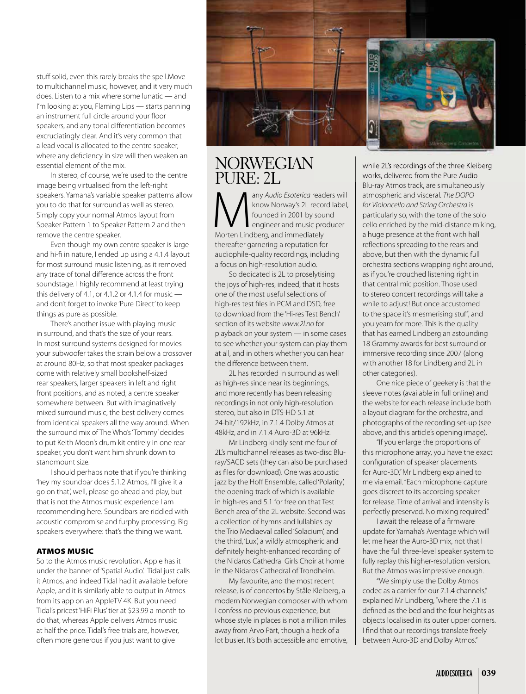stuff solid, even this rarely breaks the spell.Move to multichannel music, however, and it very much does. Listen to a mix where some lunatic — and I'm looking at you, Flaming Lips — starts panning an instrument full circle around your floor speakers, and any tonal differentiation becomes excruciatingly clear. And it's very common that a lead vocal is allocated to the centre speaker, where any deficiency in size will then weaken an essential element of the mix.

In stereo, of course, we're used to the centre image being virtualised from the left-right speakers. Yamaha's variable speaker patterns allow you to do that for surround as well as stereo. Simply copy your normal Atmos layout from Speaker Pattern 1 to Speaker Pattern 2 and then remove the centre speaker.

Even though my own centre speaker is large and hi-fi in nature, I ended up using a 4.1.4 layout for most surround music listening, as it removed any trace of tonal difference across the front soundstage. I highly recommend at least trying this delivery of 4.1, or 4.1.2 or 4.1.4 for music  $$ and don't forget to invoke 'Pure Direct' to keep things as pure as possible.

There's another issue with playing music in surround, and that's the size of your rears. In most surround systems designed for movies your subwoofer takes the strain below a crossover at around 80Hz, so that most speaker packages come with relatively small bookshelf-sized rear speakers, larger speakers in left and right front positions, and as noted, a centre speaker somewhere between. But with imaginatively mixed surround music, the best delivery comes from identical speakers all the way around. When the surround mix of The Who's 'Tommy' decides to put Keith Moon's drum kit entirely in one rear speaker, you don't want him shrunk down to standmount size.

I should perhaps note that if you're thinking 'hey my soundbar does 5.1.2 Atmos, I'll give it a go on that', well, please go ahead and play, but that is not the Atmos music experience I am recommending here. Soundbars are riddled with acoustic compromise and furphy processing. Big speakers everywhere: that's the thing we want.

#### ATMOS MUSIC

So to the Atmos music revolution. Apple has it under the banner of 'Spatial Audio'. Tidal just calls it Atmos, and indeed Tidal had it available before Apple, and it is similarly able to output in Atmos from its app on an AppleTV 4K. But you need Tidal's pricest 'HiFi Plus' tier at \$23.99 a month to do that, whereas Apple delivers Atmos music at half the price. Tidal's free trials are, however, often more generous if you just want to give

![](_page_4_Picture_7.jpeg)

# **NORWEGIAN** PURE: 2L

Many *Audio Esoterica* readers will<br>
founded in 2001 by sound<br>
Morten Lindberg, and immediately<br>
Morten Lindberg, and immediately know Norway's 2L record label, founded in 2001 by sound engineer and music producer thereafter garnering a reputation for audiophile-quality recordings, including a focus on high-resolution audio.

So dedicated is 2L to proselytising the joys of high-res, indeed, that it hosts one of the most useful selections of high-res test files in PCM and DSD, free to download from the 'Hi-res Test Bench' section of its website *www.2l.no* for playback on your system — in some cases to see whether your system can play them at all, and in others whether you can hear the difference between them.

2L has recorded in surround as well as high-res since near its beginnings, and more recently has been releasing recordings in not only high-resolution stereo, but also in DTS-HD 5.1 at 24-bit/192kHz, in 7.1.4 Dolby Atmos at 48kHz, and in 7.1.4 Auro-3D at 96kHz.

Mr Lindberg kindly sent me four of 2L's multichannel releases as two-disc Bluray/SACD sets (they can also be purchased as files for download). One was acoustic jazz by the Hoff Ensemble, called 'Polarity', the opening track of which is available in high-res and 5.1 for free on that Test Bench area of the 2L website. Second was a collection of hymns and lullabies by the Trio Mediaeval called 'Solacium', and the third, 'Lux', a wildly atmospheric and definitely height-enhanced recording of the Nidaros Cathedral Girls Choir at home in the Nidaros Cathedral of Trondheim.

My favourite, and the most recent release, is of concertos by Ståle Kleiberg, a modern Norwegian composer with whom I confess no previous experience, but whose style in places is not a million miles away from Arvo Pärt, though a heck of a lot busier. It's both accessible and emotive,

while 2L's recordings of the three Kleiberg works, delivered from the Pure Audio Blu-ray Atmos track, are simultaneously atmospheric and visceral. *The DOPO for Violoncello and String Orchestra* is particularly so, with the tone of the solo cello enriched by the mid-distance miking, a huge presence at the front with hall reflections spreading to the rears and above, but then with the dynamic full orchestra sections wrapping right around, as if you're crouched listening right in that central mic position. Those used to stereo concert recordings will take a while to adjust! But once accustomed to the space it's mesmerising stuff, and you yearn for more. This is the quality that has earned Lindberg an astounding 18 Grammy awards for best surround or immersive recording since 2007 (along with another 18 for Lindberg and 2L in other categories).

One nice piece of geekery is that the sleeve notes (available in full online) and the website for each release include both a layout diagram for the orchestra, and photographs of the recording set-up (see above, and this article's opening image).

"If you enlarge the proportions of this microphone array, you have the exact configuration of speaker placements for Auro-3D," Mr Lindberg explained to me via email. "Each microphone capture goes discreet to its according speaker for release. Time of arrival and intensity is perfectly preserved. No mixing required."

I await the release of a firmware update for Yamaha's Aventage which will let me hear the Auro-3D mix, not that I have the full three-level speaker system to fully replay this higher-resolution version. But the Atmos was impressive enough.

"We simply use the Dolby Atmos codec as a carrier for our 7.1.4 channels," explained Mr Lindberg, "where the 7.1 is defined as the bed and the four heights as objects localised in its outer upper corners. I find that our recordings translate freely between Auro-3D and Dolby Atmos."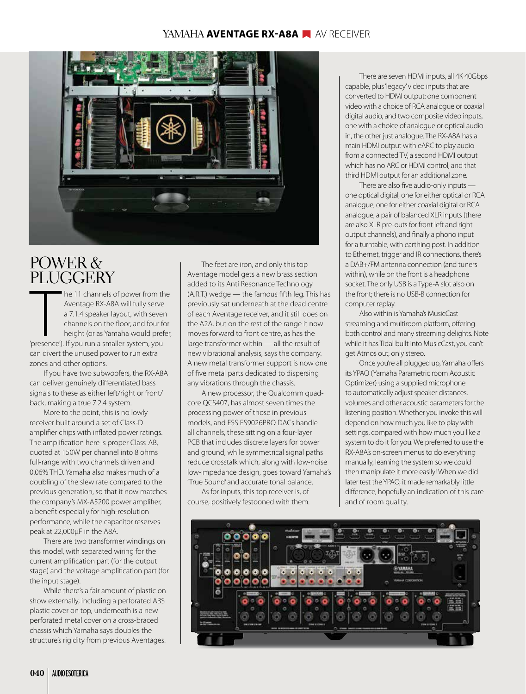## YAMAHA **AVENTAGE RX-A8A AV** AV RECEIVER

![](_page_5_Picture_1.jpeg)

# POWER & PLUGGERY

The 11 channels of power from the Aventage RX-A8A will fully serve a 7.1.4 speaker layout, with sever channels on the floor, and four for height (or as Yamaha would pref<br>
'presence'). If you run a smaller system, you he 11 channels of power from the Aventage RX-A8A will fully serve a 7.1.4 speaker layout, with seven channels on the floor, and four for height (or as Yamaha would prefer, can divert the unused power to run extra zones and other options.

If you have two subwoofers, the RX-A8A can deliver genuinely differentiated bass signals to these as either left/right or front/ back, making a true 7.2.4 system.

More to the point, this is no lowly receiver built around a set of Class-D amplifier chips with inflated power ratings. The amplification here is proper Class-AB, quoted at 150W per channel into 8 ohms full-range with two channels driven and 0.06% THD. Yamaha also makes much of a doubling of the slew rate compared to the previous generation, so that it now matches the company's MX-A5200 power amplifier. a benefit especially for high-resolution performance, while the capacitor reserves peak at 22,000μF in the A8A.

There are two transformer windings on this model, with separated wiring for the current amplification part (for the output stage) and the voltage amplification part (for the input stage).

While there's a fair amount of plastic on show externally, including a perforated ABS plastic cover on top, underneath is a new perforated metal cover on a cross-braced chassis which Yamaha says doubles the structure's rigidity from previous Aventages.

The feet are iron, and only this top Aventage model gets a new brass section added to its Anti Resonance Technology  $(A.R.T.)$  wedge  $-$  the famous fifth leg. This has previously sat underneath at the dead centre of each Aventage receiver, and it still does on the A2A, but on the rest of the range it now moves forward to front centre, as has the large transformer within — all the result of new vibrational analysis, says the company. A new metal transformer support is now one of five metal parts dedicated to dispersing any vibrations through the chassis.

A new processor, the Qualcomm quadcore QCS407, has almost seven times the processing power of those in previous models, and ESS ES9026PRO DACs handle all channels, these sitting on a four-layer PCB that includes discrete layers for power and ground, while symmetrical signal paths reduce crosstalk which, along with low-noise low-impedance design, goes toward Yamaha's 'True Sound' and accurate tonal balance.

As for inputs, this top receiver is, of course, positively festooned with them.

There are seven HDMI inputs, all 4K 40Gbps capable, plus 'legacy' video inputs that are converted to HDMI output: one component video with a choice of RCA analogue or coaxial digital audio, and two composite video inputs, one with a choice of analogue or optical audio in, the other just analogue. The RX-A8A has a main HDMI output with eARC to play audio from a connected TV, a second HDMI output which has no ARC or HDMI control, and that third HDMI output for an additional zone.

There are also five audio-only inputs  $$ one optical digital, one for either optical or RCA analogue, one for either coaxial digital or RCA analogue, a pair of balanced XLR inputs (there are also XLR pre-outs for front left and right output channels), and finally a phono input for a turntable, with earthing post. In addition to Ethernet, trigger and IR connections, there's a DAB+/FM antenna connection (and tuners within), while on the front is a headphone socket. The only USB is a Type-A slot also on the front; there is no USB-B connection for computer replay.

Also within is Yamaha's MusicCast streaming and multiroom platform, offering both control and many streaming delights. Note while it has Tidal built into MusicCast, you can't get Atmos out, only stereo.

Once you're all plugged up, Yamaha offers its YPAO (Yamaha Parametric room Acoustic Optimizer) using a supplied microphone to automatically adjust speaker distances, volumes and other acoustic parameters for the listening position. Whether you invoke this will depend on how much you like to play with settings, compared with how much you like a system to do it for you. We preferred to use the RX-A8A's on-screen menus to do everything manually, learning the system so we could then manipulate it more easily! When we did later test the YPAO, it made remarkably little difference, hopefully an indication of this care and of room quality.

![](_page_5_Picture_15.jpeg)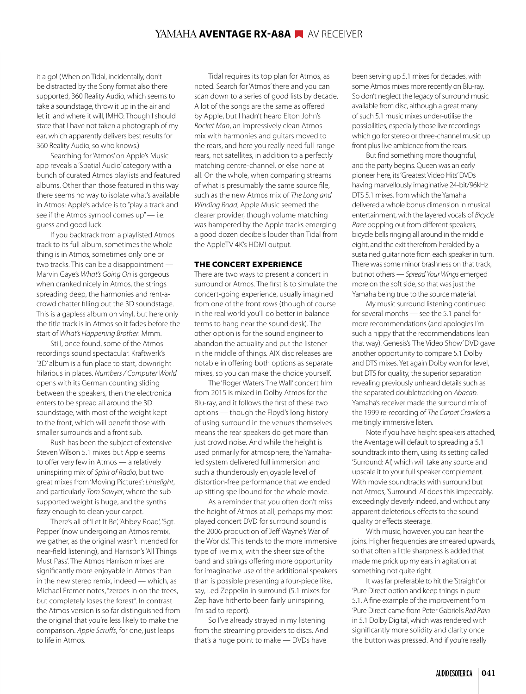### YAMAHA **AVENTAGE RX-A8A AV RECEIVER**

it a go! (When on Tidal, incidentally, don't be distracted by the Sony format also there supported, 360 Reality Audio, which seems to take a soundstage, throw it up in the air and let it land where it will, IMHO. Though I should state that I have not taken a photograph of my ear, which apparently delivers best results for 360 Reality Audio, so who knows.)

Searching for 'Atmos' on Apple's Music app reveals a 'Spatial Audio' category with a bunch of curated Atmos playlists and featured albums. Other than those featured in this way there seems no way to isolate what's available in Atmos: Apple's advice is to "play a track and see if the Atmos symbol comes up" - i.e. guess and good luck.

If you backtrack from a playlisted Atmos track to its full album, sometimes the whole thing is in Atmos, sometimes only one or two tracks. This can be a disappointment — Marvin Gaye's *What's Going On* is gorgeous when cranked nicely in Atmos, the strings spreading deep, the harmonies and rent-acrowd chatter filling out the 3D soundstage. This is a gapless album on vinyl, but here only the title track is in Atmos so it fades before the start of *What's Happening Brother*. Mmm.

Still, once found, some of the Atmos recordings sound spectacular. Kraftwerk's '3D' album is a fun place to start, downright hilarious in places. *Numbers / Computer World* opens with its German counting sliding between the speakers, then the electronica enters to be spread all around the 3D soundstage, with most of the weight kept to the front, which will benefit those with smaller surrounds and a front sub.

Rush has been the subject of extensive Steven Wilson 5.1 mixes but Apple seems to offer very few in Atmos — a relatively uninspiring mix of *Spirit of Radio*, but two great mixes from 'Moving Pictures': *Limelight*, and particularly *Tom Sawyer*, where the subsupported weight is huge, and the synths fizzy enough to clean your carpet.

There's all of 'Let It Be', 'Abbey Road', 'Sgt. Pepper' (now undergoing an Atmos remix, we gather, as the original wasn't intended for near-field listening), and Harrison's 'All Things Must Pass'. The Atmos Harrison mixes are significantly more enjoyable in Atmos than in the new stereo remix, indeed — which, as Michael Fremer notes, "zeroes in on the trees, but completely loses the forest". In contrast the Atmos version is so far distinguished from the original that you're less likely to make the comparison. *Apple Scruffs*, for one, just leaps to life in Atmos.

Tidal requires its top plan for Atmos, as noted. Search for 'Atmos' there and you can scan down to a series of good lists by decade. A lot of the songs are the same as offered by Apple, but I hadn't heard Elton John's *Rocket Man*, an impressively clean Atmos mix with harmonies and guitars moved to the rears, and here you really need full-range rears, not satellites, in addition to a perfectly matching centre-channel, or else none at all. On the whole, when comparing streams of what is presumably the same source file, such as the new Atmos mix of *The Long and Winding Road*, Apple Music seemed the clearer provider, though volume matching was hampered by the Apple tracks emerging a good dozen decibels louder than Tidal from the AppleTV 4K's HDMI output.

#### THE CONCERT EXPERIENCE

There are two ways to present a concert in surround or Atmos. The first is to simulate the concert-going experience, usually imagined from one of the front rows (though of course in the real world you'll do better in balance terms to hang near the sound desk). The other option is for the sound engineer to abandon the actuality and put the listener in the middle of things. AIX disc releases are notable in offering both options as separate mixes, so you can make the choice yourself.

The 'Roger Waters The Wall' concert film from 2015 is mixed in Dolby Atmos for the Blu-ray, and it follows the first of these two options — though the Floyd's long history of using surround in the venues themselves means the rear speakers do get more than just crowd noise. And while the height is used primarily for atmosphere, the Yamahaled system delivered full immersion and such a thunderously enjoyable level of distortion-free performance that we ended up sitting spellbound for the whole movie.

As a reminder that you often don't miss the height of Atmos at all, perhaps my most played concert DVD for surround sound is the 2006 production of 'Jeff Wayne's War of the Worlds'. This tends to the more immersive type of live mix, with the sheer size of the band and strings offering more opportunity for imaginative use of the additional speakers than is possible presenting a four-piece like, say, Led Zeppelin in surround (5.1 mixes for Zep have hitherto been fairly uninspiring, I'm sad to report).

So I've already strayed in my listening from the streaming providers to discs. And that's a huge point to make — DVDs have

been serving up 5.1 mixes for decades, with some Atmos mixes more recently on Blu-ray. So don't neglect the legacy of surround music available from disc, although a great many of such 5.1 music mixes under-utilise the possibilities, especially those live recordings which go for stereo or three-channel music up front plus live ambience from the rears.

But find something more thoughtful, and the party begins. Queen was an early pioneer here, its 'Greatest Video Hits' DVDs having marvellously imaginative 24-bit/96kHz DTS 5.1 mixes, from which the Yamaha delivered a whole bonus dimension in musical entertainment, with the layered vocals of *Bicycle Race* popping out from different speakers, bicycle bells ringing all around in the middle eight, and the exit therefrom heralded by a sustained guitar note from each speaker in turn. There was some minor brashness on that track, but not others — *Spread Your Wings* emerged more on the soft side, so that was just the Yamaha being true to the source material.

My music surround listening continued for several months — see the 5.1 panel for more recommendations (and apologies I'm such a hippy that the recommendations lean that way). Genesis's 'The Video Show' DVD gave another opportunity to compare 5.1 Dolby and DTS mixes. Yet again Dolby won for level, but DTS for quality, the superior separation revealing previously unheard details such as the separated doubletracking on *Abacab*. Yamaha's receiver made the surround mix of the 1999 re-recording of *The Carpet Crawlers* a meltingly immersive listen.

Note if you have height speakers attached, the Aventage will default to spreading a 5.1 soundtrack into them, using its setting called 'Surround: AI', which will take any source and upscale it to your full speaker complement. With movie soundtracks with surround but not Atmos, 'Surround: AI' does this impeccably, exceedingly cleverly indeed, and without any apparent deleterious effects to the sound quality or effects steerage.

With music, however, you can hear the joins. Higher frequencies are smeared upwards, so that often a little sharpness is added that made me prick up my ears in agitation at something not quite right.

 It was far preferable to hit the 'Straight' or 'Pure Direct' option and keep things in pure 5.1. A fine example of the improvement from 'Pure Direct' came from Peter Gabriel's *Red Rain* in 5.1 Dolby Digital, which was rendered with significantly more solidity and clarity once the button was pressed. And if you're really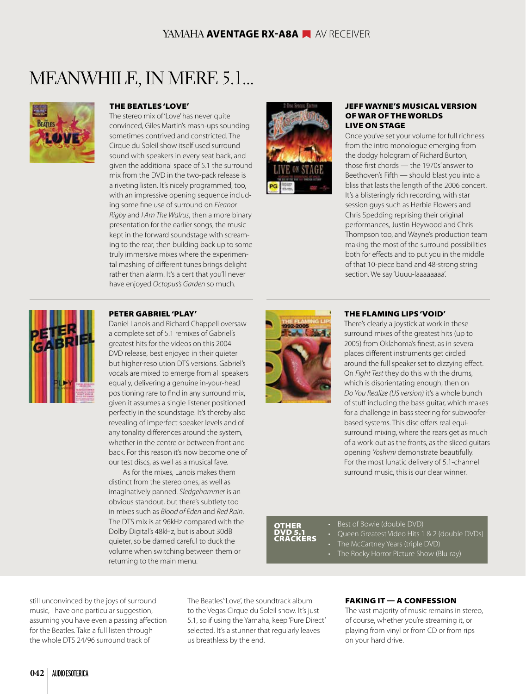# MEANWHILE, IN MERE 5.1...

![](_page_7_Picture_2.jpeg)

#### THE BEATLES 'LOVE'

The stereo mix of 'Love' has never quite convinced, Giles Martin's mash-ups sounding sometimes contrived and constricted. The Cirque du Soleil show itself used surround sound with speakers in every seat back, and given the additional space of 5.1 the surround mix from the DVD in the two-pack release is a riveting listen. It's nicely programmed, too, with an impressive opening sequence including some fine use of surround on *Eleanor Rigby* and *I Am The Walrus*, then a more binary presentation for the earlier songs, the music kept in the forward soundstage with screaming to the rear, then building back up to some truly immersive mixes where the experimental mashing of different tunes brings delight rather than alarm. It's a cert that you'll never have enjoyed *Octopus's Garden* so much.

![](_page_7_Picture_5.jpeg)

#### JEFF WAYNE'S MUSICAL VERSION OF WAR OF THE WORLDS LIVE ON STAGE

Once you've set your volume for full richness from the intro monologue emerging from the dodgy hologram of Richard Burton, those first chords — the 1970s' answer to Beethoven's Fifth — should blast you into a bliss that lasts the length of the 2006 concert. It's a blisteringly rich recording, with star session guys such as Herbie Flowers and Chris Spedding reprising their original performances, Justin Heywood and Chris Thompson too, and Wayne's production team making the most of the surround possibilities both for effects and to put you in the middle of that 10-piece band and 48-strong string section. We say 'Uuuu-laaaaaaaa'.

![](_page_7_Picture_8.jpeg)

#### PETER GABRIEL 'PLAY'

Daniel Lanois and Richard Chappell oversaw a complete set of 5.1 remixes of Gabriel's greatest hits for the videos on this 2004 DVD release, best enjoyed in their quieter but higher-resolution DTS versions. Gabriel's vocals are mixed to emerge from all speakers equally, delivering a genuine in-your-head positioning rare to find in any surround mix, given it assumes a single listener positioned perfectly in the soundstage. It's thereby also revealing of imperfect speaker levels and of any tonality differences around the system, whether in the centre or between front and back. For this reason it's now become one of our test discs, as well as a musical fave.

As for the mixes, Lanois makes them distinct from the stereo ones, as well as imaginatively panned. *Sledgehammer* is an obvious standout, but there's subtlety too in mixes such as *Blood of Eden* and *Red Rain*. The DTS mix is at 96kHz compared with the Dolby Digital's 48kHz, but is about 30dB quieter, so be darned careful to duck the volume when switching between them or returning to the main menu.

![](_page_7_Picture_12.jpeg)

#### THE FLAMING LIPS 'VOID'

There's clearly a joystick at work in these surround mixes of the greatest hits (up to 2005) from Oklahoma's finest, as in several places different instruments get circled around the full speaker set to dizzying effect. On *Fight Test* they do this with the drums, which is disorientating enough, then on *Do You Realize (US version)* it's a whole bunch of stuff including the bass guitar, which makes for a challenge in bass steering for subwooferbased systems. This disc offers real equisurround mixing, where the rears get as much of a work-out as the fronts, as the sliced guitars opening *Yoshimi* demonstrate beautifully. For the most lunatic delivery of 5.1-channel surround music, this is our clear winner.

### **OTHER** DVD 5.1 CRACKERS

• Best of Bowie (double DVD)

- Queen Greatest Video Hits 1 & 2 (double DVDs)
- The McCartney Years (triple DVD)
- The Rocky Horror Picture Show (Blu-ray)

still unconvinced by the joys of surround music, I have one particular suggestion, assuming you have even a passing affection for the Beatles. Take a full listen through the whole DTS 24/96 surround track of

The Beatles''Love', the soundtrack album to the Vegas Cirque du Soleil show. It's just 5.1, so if using the Yamaha, keep 'Pure Direct' selected. It's a stunner that regularly leaves us breathless by the end.

### $FAKING IT - A CONFESSION$

The vast majority of music remains in stereo, of course, whether you're streaming it, or playing from vinyl or from CD or from rips on your hard drive.